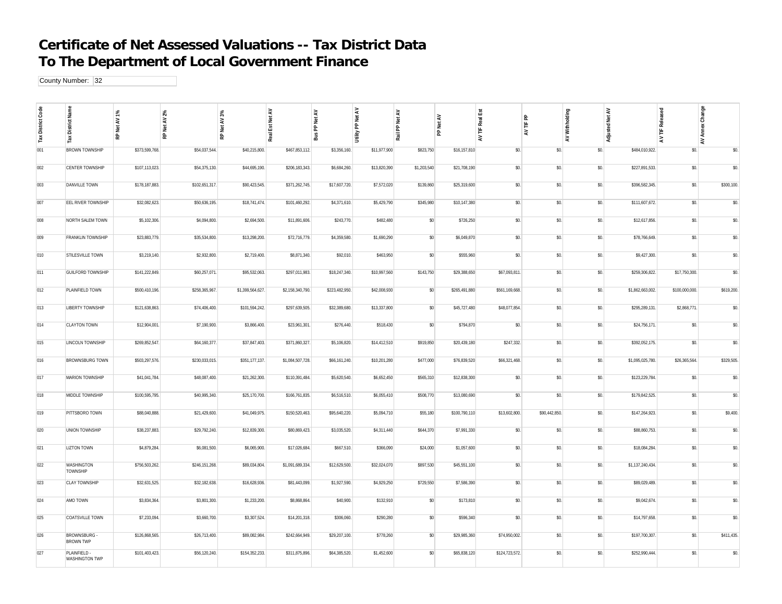## **Certificate of Net Assessed Valuations -- Tax District Data To The Department of Local Government Finance**

County Number: 32

| Tax District Code | Name<br>: District<br>⋇               | P.<br>RP Net AV | Net AV 2%<br>윤 | $3\%$<br>RP Net AV | Est Net AV<br>Reall | Net AV<br>운<br>å | Net AV<br>ድ<br>Utility | Net AV<br>ድ<br>Rail | ₹<br>let<br>운 | Real Est<br>岂<br>$\geq$ | 운<br>岂<br>₹   | Withholding<br>$\gtrsim$ | Adjusted Net AV  | Released<br>旨<br>₹ | Change<br>λëι<br>ā<br>$\tilde{\mathbf{z}}$ |
|-------------------|---------------------------------------|-----------------|----------------|--------------------|---------------------|------------------|------------------------|---------------------|---------------|-------------------------|---------------|--------------------------|------------------|--------------------|--------------------------------------------|
| 001               | <b>BROWN TOWNSHIP</b>                 | \$373,599,768.  | \$54,037,544.  | \$40,215,800.      | \$467,853,112.      | \$3,356,160.     | \$11,977,900           | \$823,750           | \$16,157,810  | \$0.                    | \$0.          | \$0.                     | \$484,010,922.   | \$0.               | \$0.                                       |
| 002               | CENTER TOWNSHIP                       | \$107,113,023   | \$54,375,130.  | \$44,695,190.      | \$206,183,343.      | \$6,684,260.     | \$13,820,390           | \$1,203,540         | \$21,708,190  | \$0.                    | \$0.          | \$0.                     | \$227,891,533.   | \$0.               | \$0.                                       |
| 003               | DANVILLE TOWN                         | \$178,187,883   | \$102,651,317  | \$90,423,545.      | \$371,262,745.      | \$17,607,720.    | \$7,572,020            | \$139,860           | \$25,319,600  | \$0.                    | \$0.          | \$0.                     | \$396,582,345.   | \$0.               | \$300,100                                  |
| 007               | EEL RIVER TOWNSHIP                    | \$32,082,623.   | \$50,636,195.  | \$18,741,474.      | \$101,460,292.      | \$4,371,610.     | \$5,429,790            | \$345,980           | \$10,147,380  | \$0.                    | \$0.          | \$0.                     | \$111,607,672.   | \$0.               | \$0.                                       |
| 008               | NORTH SALEM TOWN                      | \$5,102,306.    | \$4,094,800.   | \$2,694,500.       | \$11,891,606.       | \$243,770.       | \$482,480              | \$0                 | \$726,250     | \$0.                    | \$0.          | \$0.                     | \$12,617,856.    | \$0.               | \$0.                                       |
| 009               | FRANKLIN TOWNSHIP                     | \$23,883,779.   | \$35,534,800.  | \$13,298,200.      | \$72,716,779.       | \$4,359,580.     | \$1,690,290            | $\$0$               | \$6,049,870   | \$0.                    | \$0.          | \$0.                     | \$78,766,649.    | \$0.               | \$0.                                       |
| 010               | STILESVILLE TOWN                      | \$3,219,140.    | \$2,932,800    | \$2,719,400.       | \$8,871,340.        | \$92,010.        | \$463,950              | \$0                 | \$555,960     | \$0.                    | \$0.          | \$0.                     | \$9,427,300.     | \$0.               | \$0.                                       |
| 011               | <b>GUILFORD TOWNSHIP</b>              | \$141,222,849   | \$60,257,071   | \$95,532,063.      | \$297,011,983.      | \$18,247,340.    | \$10,997,560           | \$143,750           | \$29,388,650  | \$67,093,811.           | \$0.          | \$0.                     | \$259,306,822.   | \$17,750,300.      | \$0.                                       |
| 012               | PLAINFIELD TOWN                       | \$500,410,196   | \$258,365,967  | \$1,399,564,627.   | \$2,158,340,790.    | \$223,482,950.   | \$42,008,930           | \$0                 | \$265,491,880 | \$561,169,668.          | \$0.          | \$0.                     | \$1,862,663,002. | \$100,000,000.     | \$619,200                                  |
| 013               | LIBERTY TOWNSHIP                      | \$121,638,863.  | \$74,406,400.  | \$101,594,242.     | \$297,639,505.      | \$32,389,680.    | \$13,337,800           | \$0                 | \$45,727,480  | \$48,077,854.           | \$0.          | \$0.                     | \$295,289,131.   | \$2,868,771.       | \$0.                                       |
| 014               | <b>CLAYTON TOWN</b>                   | \$12,904,001    | \$7,190,900.   | \$3,866,400.       | \$23,961,301        | \$276,440.       | \$518,430              | $\$0$               | \$794,870     | \$0.                    | \$0.          | \$0.                     | \$24,756,171.    | \$0.               | \$0.                                       |
| 015               | LINCOLN TOWNSHIP                      | \$269,852,547   | \$64,160,377   | \$37,847,403.      | \$371,860,327       | \$5,106,820.     | \$14,412,510           | \$919,850           | \$20,439,180  | \$247,332.              | \$0.          | \$0.                     | \$392,052,175.   | \$0.               | \$0.                                       |
| 016               | BROWNSBURG TOWN                       | \$503,297,576.  | \$230,033,015  | \$351,177,137.     | \$1,084,507,728.    | \$66,161,240.    | \$10,201,280           | \$477,000           | \$76,839,520  | \$66,321,468.           | \$0.          | \$0.                     | \$1,095,025,780. | \$26,365,564.      | \$329,505                                  |
| 017               | MARION TOWNSHIP                       | \$41,041,784    | \$48,087,400   | \$21,262,300.      | \$110,391,484.      | \$5,620,540.     | \$6,652,450            | \$565,310           | \$12,838,300  | \$0.                    | \$0.          | \$0.                     | \$123,229,784.   | \$0.               | \$0.                                       |
| 018               | MIDDLE TOWNSHIP                       | \$100,595,795.  | \$40,995,340.  | \$25,170,700.      | \$166,761,835.      | \$6,516,510.     | \$6,055,410            | \$508,770           | \$13,080,690  | \$0.                    | \$0.          | \$0.                     | \$179,842,525.   | \$0.               | \$0.                                       |
| 019               | PITTSBORO TOWN                        | \$88,040,888    | \$21,429,600.  | \$41,049,975.      | \$150,520,463.      | \$95,640,220.    | \$5,094,710            | \$55,180            | \$100,790,110 | \$13,602,800.           | \$90,442,850. | \$0.                     | \$147,264,923.   | \$0.               | \$9,400.                                   |
| 020               | UNION TOWNSHIP                        | \$38,237,883    | \$29,792,240   | \$12,839,300.      | \$80,869,423.       | \$3,035,520.     | \$4,311,440            | \$644,370           | \$7,991,330   | \$0.                    | \$0.          | \$0.                     | \$88,860,753.    | \$0.               | \$0.                                       |
| 021               | <b>LIZTON TOWN</b>                    | \$4,879,284     | \$6,081,500.   | \$6,065,900.       | \$17,026,684        | \$667,510.       | \$366,090              | \$24,000            | \$1,057,600   | \$0.                    | \$0.          | \$0.                     | \$18,084,284     | \$0.               | \$0.                                       |
| 022               | WASHINGTON<br><b>TOWNSHIP</b>         | \$756,503,262   | \$246,151,268  | \$89,034,804.      | \$1,091,689,334     | \$12,629,500.    | \$32,024,070           | \$897,530           | \$45,551,100  | \$0.                    | \$0.          | \$0.                     | \$1,137,240,434. | \$0.               | \$0.                                       |
| 023               | <b>CLAY TOWNSHIP</b>                  | \$32,631,525.   | \$32,182,638.  | \$16,628,936.      | \$81,443,099.       | \$1,927,590.     | \$4,929,250            | \$729,550           | \$7,586,390   | \$0.                    | \$0.          | \$0.                     | \$89,029,489.    | \$0.               | \$0.                                       |
| 024               | AMO TOWN                              | \$3,834,364     | \$3,801,300.   | \$1,233,200.       | \$8,868,864.        | \$40,900.        | \$132,910              | \$0                 | \$173,810     | \$0.                    | \$0.          | \$0.                     | \$9,042,674.     | \$0.               | \$0.                                       |
| 025               | COATSVILLE TOWN                       | \$7,233,094     | \$3,660,700    | \$3,307,524        | \$14,201,318.       | \$306,060        | \$290,280              | \$0                 | \$596,340     | \$0.                    | \$0.          | \$0.                     | \$14,797,658.    | \$0.               | \$0.                                       |
| 026               | <b>BROWNSBURG</b><br><b>BROWN TWP</b> | \$126,868,565   | \$26,713,400   | \$89,082,984.      | \$242,664,949       | \$29,207,100.    | \$778,260              | \$0                 | \$29,985,360  | \$74,950,002.           | \$0.          | \$0.                     | \$197,700,307.   | \$0.               | \$411,435                                  |
| 027               | <b>PLAINFIELD</b><br>WASHINGTON TWP   | \$101,403,423.  | \$56,120,240.  | \$154,352,233.     | \$311,875,896.      | \$64,385,520.    | \$1,452,600            | \$0                 | \$65,838,120  | \$124,723,572.          | \$0.          | \$0.                     | \$252,990,444.   | \$0.               | \$0.                                       |